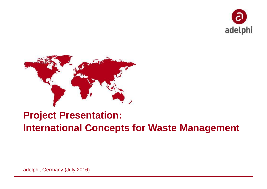



# **Project Presentation: International Concepts for Waste Management**

adelphi, Germany (July 2016)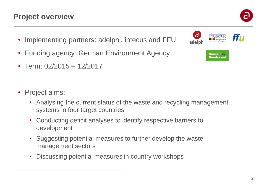# **Project overview**

- Implementing partners: adelphi, intecus and FFU
- Funding agency: German Environment Agency
- Term: 02/2015 12/2017
- Project aims:
	- Analysing the current status of the waste and recycling management systems in four target countries
	- Conducting deficit analyses to identify respective barriers to development
	- Suggesting potential measures to further develop the waste management sectors
	- Discussing potential measures in country workshops



**Umwelt Bundesamt** 

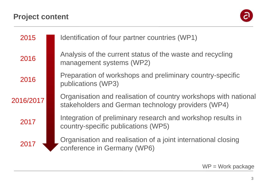# **Project content**



| 2015      | Identification of four partner countries (WP1)                                                                        |  |  |
|-----------|-----------------------------------------------------------------------------------------------------------------------|--|--|
| 2016      | Analysis of the current status of the waste and recycling<br>management systems (WP2)                                 |  |  |
| 2016      | Preparation of workshops and preliminary country-specific<br>publications (WP3)                                       |  |  |
| 2016/2017 | Organisation and realisation of country workshops with national<br>stakeholders and German technology providers (WP4) |  |  |
| 2017      | Integration of preliminary research and workshop results in<br>country-specific publications (WP5)                    |  |  |
| 2017      | Organisation and realisation of a joint international closing<br>conference in Germany (WP6)                          |  |  |

WP = Work package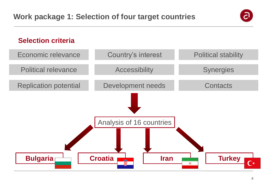

#### **Selection criteria**

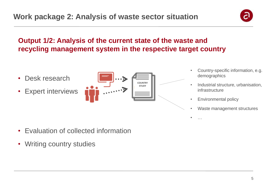# **Output 1/2: Analysis of the current state of the waste and recycling management system in the respective target country**

- Desk research
- **Expert interviews**



- Country-specific information, e.g. demographics
- Industrial structure, urbanisation, infrastructure
- Environmental policy
- Waste management structures
- …

- Evaluation of collected information
- Writing country studies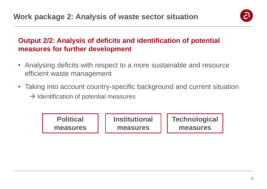

# **Output 2/2: Analysis of deficits and identification of potential measures for further development**

- Analysing deficits with respect to a more sustainable and resource efficient waste management
- Taking into account country-specific background and current situation
	- $\rightarrow$  Identification of potential measures

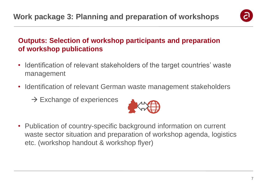

# **Outputs: Selection of workshop participants and preparation of workshop publications**

- Identification of relevant stakeholders of the target countries' waste management
- Identification of relevant German waste management stakeholders
	- $\rightarrow$  Exchange of experiences



• Publication of country-specific background information on current waste sector situation and preparation of workshop agenda, logistics etc. (workshop handout & workshop flyer)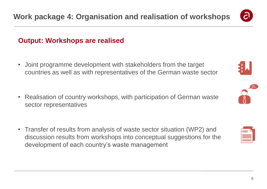

#### **Output: Workshops are realised**

- Joint programme development with stakeholders from the target countries as well as with representatives of the German waste sector
- Realisation of country workshops, with participation of German waste sector representatives
- Transfer of results from analysis of waste sector situation (WP2) and discussion results from workshops into conceptual suggestions for the development of each country's waste management





| ł |  |
|---|--|
| i |  |
|   |  |
| I |  |
|   |  |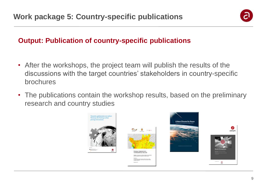

# **Output: Publication of country-specific publications**

- After the workshops, the project team will publish the results of the discussions with the target countries' stakeholders in country-specific brochures
- The publications contain the workshop results, based on the preliminary research and country studies

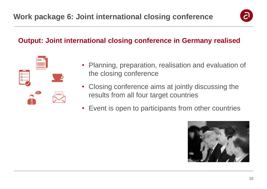

### **Output: Joint international closing conference in Germany realised**



- Planning, preparation, realisation and evaluation of the closing conference
- Closing conference aims at jointly discussing the results from all four target countries
- Event is open to participants from other countries

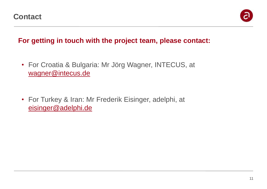

## **For getting in touch with the project team, please contact:**

- For Croatia & Bulgaria: Mr Jörg Wagner, INTECUS, at [wagner@intecus.de](mailto:wagner@intecus.de)
- For Turkey & Iran: Mr Frederik Eisinger, adelphi, at [eisinger@adelphi.de](mailto:eisinger@adelphi.de)